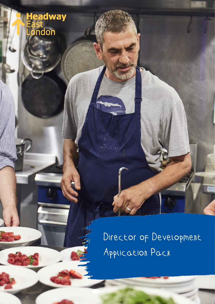

Director of Development Application Pack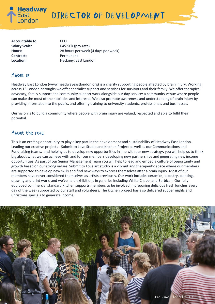

**Accountable to:** CEO Contract: Permanent

Salary Scale: E45-50k (pro-rata) **Hours:** 28 hours per week (4 days per week) **Location:** Hackney, East London

### About us

[Headway East London](http://www.headwayeastlondon.org/) (www.headwayeastlondon.org) is a charity supporting people affected by brain injury. Working across 13 London boroughs we offer specialist support and services for survivors and their family. We offer therapies, advocacy, family support and community support work alongside our day service: a community venue where people can make the most of their abilities and interests. We also promote awareness and understanding of brain injury by providing information to the public, and offering training to university students, professionals and businesses.

Our vision is to build a community where people with brain injury are valued, respected and able to fulfil their potential.

## About the role

This is an exciting opportunity to play a key part in the development and sustainability of Headway East London. Leading our creative projects - Submit to Love Studio and Kitchen Project as well as our Communications and Fundraising teams, and helping us to develop new opportunities in line with our new strategy, you will help us to think big about what we can achieve with and for our members developing new partnerships and generating new income opportunities. As part of our Senior Management Team you will help to lead and embed a culture of opportunity and growth based on our strong values. Submit to Love art studio is a vibrant and therapeutic space where our members are supported to develop new skills and find new ways to express themselves after a brain injury. Most of our members have never considered themselves as artists previously. Our work includes ceramics, tapestry, painting, drawing and print work, and we've held exhibitions in galleries including White Chapel and Barbican. Our fully equipped commercial standard kitchen supports members to be involved in preparing delicious fresh lunches every day of the week supported by our staff and volunteers. The kitchen project has also delivered supper nights and Christmas specials to generate income.

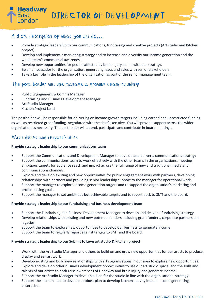DIRECTOR OF DEVELOPMENT

## A short description of what you will do**…**

- Provide strategic leadership to our communications, fundraising and creative projects (Art studio and Kitchen project).
- Develop and implement a marketing strategy and to increase and diversify our income generation and the whole team's commercial awareness.
- Develop new opportunities for people affected by brain injury in line with our strategy.
- Be an ambassador for the organisation, generating leads and sales with senior stakeholders.
- Take a key role in the leadership of the organisation as part of the senior management team.

### The post holder will line manage a growing team including:

- Public Engagement & Comms Manager
- Fundraising and Business Development Manager
- Art Studio Manager

**Headway** 

• Kitchen Project Lead

The postholder will be responsible for delivering on income growth targets including earned and unrestricted funding as well as restricted grant funding, negotiated with the chief executive. You will provide support across the wider organisation as necessary. The postholder will attend, participate and contribute in board meetings.

## Main duties and responsibilities

#### **Provide strategic leadership to our communications team**

- Support the Communications and Development Manager to develop and deliver a communications strategy
- Support the communications team to work effectively with the other teams in the organisations, meeting ambitious targets for audience reach and impact across the full range of new and traditional media and communications channels.
- Explore and develop existing and new opportunities for public engagement work with partners, developing relationships with partners and providing senior leadership support to the manager for operational work.
- Support the manager to explore income generation targets and to support the organisation's marketing and profile-raising goals.
- Support the manager to set ambitious but achievable targets and to report back to SMT and the board.

#### **Provide strategic leadership to our fundraising and business development team**

- Support the Fundraising and Business Development Manager to develop and deliver a fundraising strategy.
- Develop relationships with existing and new potential funders including grant funders, corporate partners and legacies.
- Support the team to explore new opportunities to develop our business to generate income.
- Support the team to regularly report against targets to SMT and the board.

#### **Provide strategic leadership to our Submit to Love art studio & kitchen project**

- Work with the Art Studio Manager and others to build on and grow new opportunities for our artists to produce, display and sell art work.
- Develop existing and build new relationships with arts organisations in our area to explore new opportunities.
- Explore and develop other business development opportunities to use our art studio space, and the skills and talents of our artists to both raise awareness of Headway and brain injury and generate income.
- Support the Art Studio Manager to develop a plan for the studio in line with the organisational strategy.
- Support the kitchen lead to develop a robust plan to develop kitchen activity into an income generating enterprise.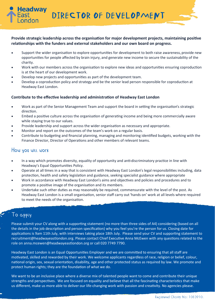DIRECTOR OF DEVELOPMENT

### **Provide strategic leadership across the organisation for major development projects, maintaining positive relationships with the funders and external stakeholders and our own board on progress.**

- Support the wider organisation to explore opportunities for development to both raise awareness, provide new opportunities for people affected by brain injury, and generate new income to secure the sustainability of the charity.
- Work with our members across the organisation to explore new ideas and opportunities ensuring coproduction is at the heart of our development work.
- Develop new projects and opportunities as part of the development team.
- Develop a coproduction policy and strategy and be the senior lead person responsible for coproduction at Headway East London.

#### **Contribute to the effective leadership and administration of Headway East London**

- Work as part of the Senior Management Team and support the board in setting the organisation's strategic direction.
- Embed a positive culture across the organisation of generating income and being more commercially aware while staying true to our values.
- Provide leadership and support across the wider organisation as necessary and appropriate.
- Monitor and report on the outcomes of the team's work on a regular basis.
- Contribute to budgeting and financial planning, managing and monitoring identified budgets, working with the Finance Director, Director of Operations and other members of relevant teams.

### How you will work

**leadway** 

- In a way which promotes diversity, equality of opportunity and anti-discriminatory practice in line with Headway's Equal Opportunities Policy.
- Operate at all times in a way that is consistent with Headway East London's legal responsibilities including, data protection, health and safety legislation and guidance, seeking specialist guidance where appropriate
- Work in accordance with Headway East London's aims and objectives and policies and procedures and to promote a positive image of the organisation and its members.
- Undertake such other duties as may reasonably be required, commensurate with the level of the post. As Headway East London is a small organisation, senior staff carry out 'hands on' work at all levels where required to meet the needs of the organisation.

# To apply

Please submit your CV along with a supporting statement (no more than three sides of A4) considering (based on all the details in the job description and person specification) why you feel you're the person for us. Closing date for applications is 9am 11th July, with interviews taking place 18th July. Please send your CV and supporting statement to recruitment@headwayeastlondon.org. Please contact Chief Executive Anna McEwen with any questions related to the role on anna.mcewen@headwayeastlondon.org or call 020 7749 7790.

Headway East London is an Equal Opportunities Employer and we are committed to ensuring that all staff are motivated, skilled and rewarded by their work. We welcome applicants regardless of race, religion or belief, colour, national origin, sex, sexual orientation, disability, age and other protected status as required by law. [We promote and](https://sharedlivesplus.org.uk/shared-living-and-human-rights/)  [protect human rights; they are the foundation of what we do.](https://sharedlivesplus.org.uk/shared-living-and-human-rights/)

We want to be an inclusive place where a diverse mix of talented people want to come and contribute their unique strengths and perspectives. We are focused on equality and believe that all the fascinating characteristics that make us different, make us more able to deliver our life-changing work with passion and creativity. No agencies please.